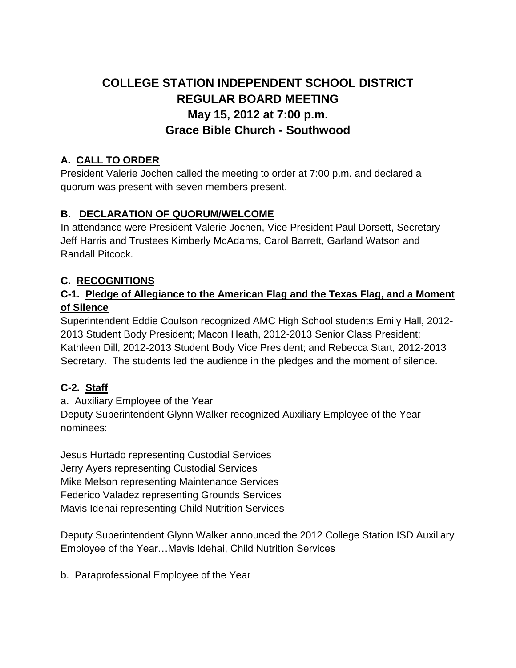# **COLLEGE STATION INDEPENDENT SCHOOL DISTRICT REGULAR BOARD MEETING May 15, 2012 at 7:00 p.m. Grace Bible Church - Southwood**

### **A. CALL TO ORDER**

President Valerie Jochen called the meeting to order at 7:00 p.m. and declared a quorum was present with seven members present.

### **B. DECLARATION OF QUORUM/WELCOME**

In attendance were President Valerie Jochen, Vice President Paul Dorsett, Secretary Jeff Harris and Trustees Kimberly McAdams, Carol Barrett, Garland Watson and Randall Pitcock.

### **C. RECOGNITIONS**

### **C-1. Pledge of Allegiance to the American Flag and the Texas Flag, and a Moment of Silence**

Superintendent Eddie Coulson recognized AMC High School students Emily Hall, 2012- 2013 Student Body President; Macon Heath, 2012-2013 Senior Class President; Kathleen Dill, 2012-2013 Student Body Vice President; and Rebecca Start, 2012-2013 Secretary. The students led the audience in the pledges and the moment of silence.

# **C-2. Staff**

a. Auxiliary Employee of the Year Deputy Superintendent Glynn Walker recognized Auxiliary Employee of the Year nominees:

Jesus Hurtado representing Custodial Services Jerry Ayers representing Custodial Services Mike Melson representing Maintenance Services Federico Valadez representing Grounds Services Mavis Idehai representing Child Nutrition Services

Deputy Superintendent Glynn Walker announced the 2012 College Station ISD Auxiliary Employee of the Year…Mavis Idehai, Child Nutrition Services

b. Paraprofessional Employee of the Year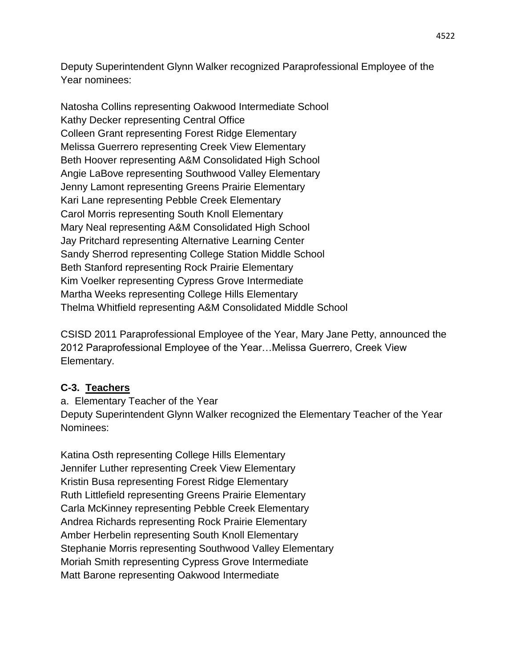Deputy Superintendent Glynn Walker recognized Paraprofessional Employee of the Year nominees:

Natosha Collins representing Oakwood Intermediate School Kathy Decker representing Central Office Colleen Grant representing Forest Ridge Elementary Melissa Guerrero representing Creek View Elementary Beth Hoover representing A&M Consolidated High School Angie LaBove representing Southwood Valley Elementary Jenny Lamont representing Greens Prairie Elementary Kari Lane representing Pebble Creek Elementary Carol Morris representing South Knoll Elementary Mary Neal representing A&M Consolidated High School Jay Pritchard representing Alternative Learning Center Sandy Sherrod representing College Station Middle School Beth Stanford representing Rock Prairie Elementary Kim Voelker representing Cypress Grove Intermediate Martha Weeks representing College Hills Elementary Thelma Whitfield representing A&M Consolidated Middle School

CSISD 2011 Paraprofessional Employee of the Year, Mary Jane Petty, announced the 2012 Paraprofessional Employee of the Year…Melissa Guerrero, Creek View Elementary.

### **C-3. Teachers**

a. Elementary Teacher of the Year Deputy Superintendent Glynn Walker recognized the Elementary Teacher of the Year Nominees:

Katina Osth representing College Hills Elementary Jennifer Luther representing Creek View Elementary Kristin Busa representing Forest Ridge Elementary Ruth Littlefield representing Greens Prairie Elementary Carla McKinney representing Pebble Creek Elementary Andrea Richards representing Rock Prairie Elementary Amber Herbelin representing South Knoll Elementary Stephanie Morris representing Southwood Valley Elementary Moriah Smith representing Cypress Grove Intermediate Matt Barone representing Oakwood Intermediate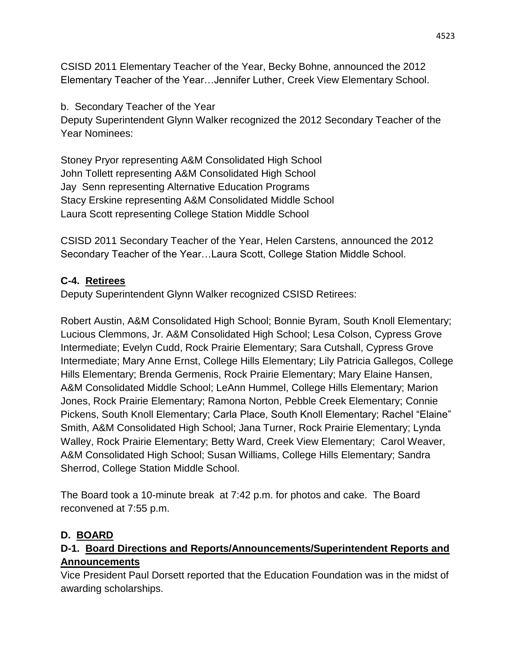CSISD 2011 Elementary Teacher of the Year, Becky Bohne, announced the 2012 Elementary Teacher of the Year…Jennifer Luther, Creek View Elementary School.

b. Secondary Teacher of the Year

Deputy Superintendent Glynn Walker recognized the 2012 Secondary Teacher of the Year Nominees:

Stoney Pryor representing A&M Consolidated High School John Tollett representing A&M Consolidated High School Jay Senn representing Alternative Education Programs Stacy Erskine representing A&M Consolidated Middle School Laura Scott representing College Station Middle School

CSISD 2011 Secondary Teacher of the Year, Helen Carstens, announced the 2012 Secondary Teacher of the Year…Laura Scott, College Station Middle School.

### **C-4. Retirees**

Deputy Superintendent Glynn Walker recognized CSISD Retirees:

Robert Austin, A&M Consolidated High School; Bonnie Byram, South Knoll Elementary; Lucious Clemmons, Jr. A&M Consolidated High School; Lesa Colson, Cypress Grove Intermediate; Evelyn Cudd, Rock Prairie Elementary; Sara Cutshall, Cypress Grove Intermediate; Mary Anne Ernst, College Hills Elementary; Lily Patricia Gallegos, College Hills Elementary; Brenda Germenis, Rock Prairie Elementary; Mary Elaine Hansen, A&M Consolidated Middle School; LeAnn Hummel, College Hills Elementary; Marion Jones, Rock Prairie Elementary; Ramona Norton, Pebble Creek Elementary; Connie Pickens, South Knoll Elementary; Carla Place, South Knoll Elementary; Rachel "Elaine" Smith, A&M Consolidated High School; Jana Turner, Rock Prairie Elementary; Lynda Walley, Rock Prairie Elementary; Betty Ward, Creek View Elementary; Carol Weaver, A&M Consolidated High School; Susan Williams, College Hills Elementary; Sandra Sherrod, College Station Middle School.

The Board took a 10-minute break at 7:42 p.m. for photos and cake. The Board reconvened at 7:55 p.m.

# **D. BOARD**

### **D-1. Board Directions and Reports/Announcements/Superintendent Reports and Announcements**

Vice President Paul Dorsett reported that the Education Foundation was in the midst of awarding scholarships.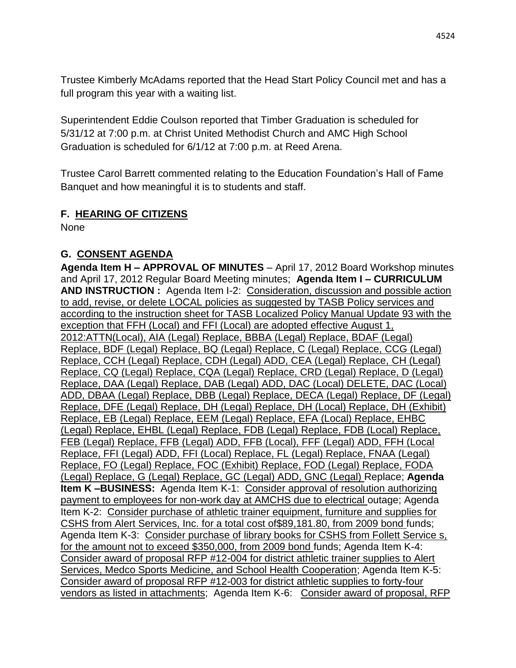Trustee Kimberly McAdams reported that the Head Start Policy Council met and has a full program this year with a waiting list.

Superintendent Eddie Coulson reported that Timber Graduation is scheduled for 5/31/12 at 7:00 p.m. at Christ United Methodist Church and AMC High School Graduation is scheduled for 6/1/12 at 7:00 p.m. at Reed Arena.

Trustee Carol Barrett commented relating to the Education Foundation's Hall of Fame Banquet and how meaningful it is to students and staff.

#### **F. HEARING OF CITIZENS**

None

### **G. CONSENT AGENDA**

**Agenda Item H – APPROVAL OF MINUTES** – April 17, 2012 Board Workshop minutes and April 17, 2012 Regular Board Meeting minutes; **Agenda Item I – CURRICULUM AND INSTRUCTION :** Agenda Item I-2: Consideration, discussion and possible action to add, revise, or delete LOCAL policies as suggested by TASB Policy services and according to the instruction sheet for TASB Localized Policy Manual Update 93 with the exception that FFH (Local) and FFI (Local) are adopted effective August 1, 2012:ATTN(Local), AIA (Legal) Replace, BBBA (Legal) Replace, BDAF (Legal) Replace, BDF (Legal) Replace, BQ (Legal) Replace, C (Legal) Replace, CCG (Legal) Replace, CCH (Legal) Replace, CDH (Legal) ADD, CEA (Legal) Replace, CH (Legal) Replace, CQ (Legal) Replace, CQA (Legal) Replace, CRD (Legal) Replace, D (Legal) Replace, DAA (Legal) Replace, DAB (Legal) ADD, DAC (Local) DELETE, DAC (Local) ADD, DBAA (Legal) Replace, DBB (Legal) Replace, DECA (Legal) Replace, DF (Legal) Replace, DFE (Legal) Replace, DH (Legal) Replace, DH (Local) Replace, DH (Exhibit) Replace, EB (Legal) Replace, EEM (Legal) Replace, EFA (Local) Replace, EHBC (Legal) Replace, EHBL (Legal) Replace, FDB (Legal) Replace, FDB (Local) Replace, FEB (Legal) Replace, FFB (Legal) ADD, FFB (Local), FFF (Legal) ADD, FFH (Local Replace, FFI (Legal) ADD, FFI (Local) Replace, FL (Legal) Replace, FNAA (Legal) Replace, FO (Legal) Replace, FOC (Exhibit) Replace, FOD (Legal) Replace, FODA (Legal) Replace, G (Legal) Replace, GC (Legal) ADD, GNC (Legal) Replace; **Agenda Item K –BUSINESS:** Agenda Item K-1: Consider approval of resolution authorizing payment to employees for non-work day at AMCHS due to electrical outage; Agenda Item K-2: Consider purchase of athletic trainer equipment, furniture and supplies for CSHS from Alert Services, Inc. for a total cost of\$89,181.80, from 2009 bond funds; Agenda Item K-3: Consider purchase of library books for CSHS from Follett Service s, for the amount not to exceed \$350,000, from 2009 bond funds; Agenda Item K-4: Consider award of proposal RFP #12-004 for district athletic trainer supplies to Alert Services, Medco Sports Medicine, and School Health Cooperation; Agenda Item K-5: Consider award of proposal RFP #12-003 for district athletic supplies to forty-four vendors as listed in attachments; Agenda Item K-6: Consider award of proposal, RFP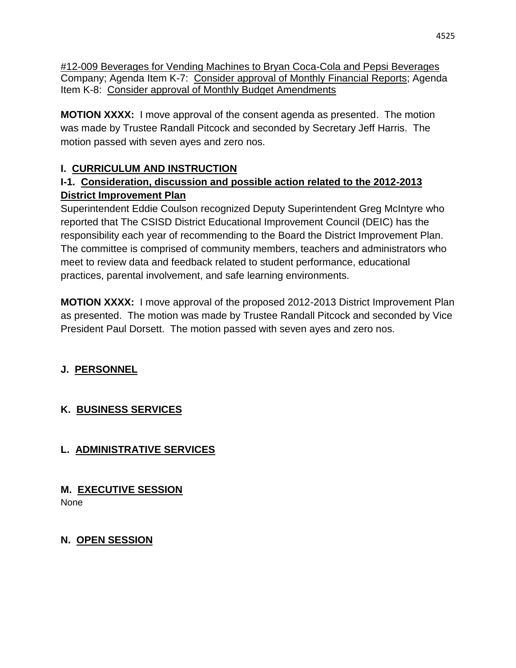#12-009 Beverages for Vending Machines to Bryan Coca-Cola and Pepsi Beverages Company; Agenda Item K-7: Consider approval of Monthly Financial Reports; Agenda Item K-8: Consider approval of Monthly Budget Amendments

**MOTION XXXX:** I move approval of the consent agenda as presented. The motion was made by Trustee Randall Pitcock and seconded by Secretary Jeff Harris. The motion passed with seven ayes and zero nos.

# **I. CURRICULUM AND INSTRUCTION**

### **I-1. Consideration, discussion and possible action related to the 2012-2013 District Improvement Plan**

Superintendent Eddie Coulson recognized Deputy Superintendent Greg McIntyre who reported that The CSISD District Educational Improvement Council (DEIC) has the responsibility each year of recommending to the Board the District Improvement Plan. The committee is comprised of community members, teachers and administrators who meet to review data and feedback related to student performance, educational practices, parental involvement, and safe learning environments.

**MOTION XXXX:** I move approval of the proposed 2012-2013 District Improvement Plan as presented. The motion was made by Trustee Randall Pitcock and seconded by Vice President Paul Dorsett. The motion passed with seven ayes and zero nos.

# **J. PERSONNEL**

# **K. BUSINESS SERVICES**

# **L. ADMINISTRATIVE SERVICES**

# **M. EXECUTIVE SESSION**

None

# **N. OPEN SESSION**